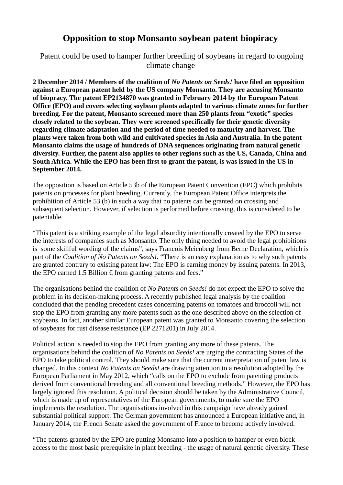## **Opposition to stop Monsanto soybean patent biopiracy**

Patent could be used to hamper further breeding of soybeans in regard to ongoing climate change

**2 December 2014 / Members of the coalition of** *No Patents on Seeds!* **have filed an opposition against a European patent held by the US company Monsanto. They are accusing Monsanto of biopracy. The patent EP2134870 was granted in February 2014 by the European Patent Office (EPO) and covers selecting soybean plants adapted to various climate zones for further breeding. For the patent, Monsanto screened more than 250 plants from "exotic" species closely related to the soybean. They were screened specifically for their genetic diversity regarding climate adaptation and the period of time needed to maturity and harvest. The plants were taken from both wild and cultivated species in Asia and Australia. In the patent Monsanto claims the usage of hundreds of DNA sequences originating from natural genetic diversity. Further, the patent also applies to other regions such as the US, Canada, China and South Africa. While the EPO has been first to grant the patent, is was issued in the US in September 2014.**

The opposition is based on Article 53b of the European Patent Convention (EPC) which prohibits patents on processes for plant breeding. Currently, the European Patent Office interprets the prohibition of Article 53 (b) in such a way that no patents can be granted on crossing and subsequent selection. However, if selection is performed before crossing, this is considered to be patentable.

"This patent is a striking example of the legal absurdity intentionally created by the EPO to serve the interests of companies such as Monsanto. The only thing needed to avoid the legal prohibitions is some skillful wording of the claims", says Francois Meienberg from Berne Declaration, which is part of the *Coalition of No Patents on Seeds!*. "There is an easy explanation as to why such patents are granted contrary to existing patent law: The EPO is earning money by issuing patents. In 2013, the EPO earned 1.5 Billion  $\epsilon$  from granting patents and fees."

The organisations behind the coalition of *No Patents on Seeds!* do not expect the EPO to solve the problem in its decision-making process. A recently published legal analysis by the coalition concluded that the pending precedent cases concerning patents on tomatoes and broccoli will not stop the EPO from granting any more patents such as the one described above on the selection of soybeans. In fact, another similar European patent was granted to Monsanto covering the selection of soybeans for rust disease resistance (EP 2271201) in July 2014.

Political action is needed to stop the EPO from granting any more of these patents. The organisations behind the coalition of *No Patents on Seeds!* are urging the contracting States of the EPO to take political control. They should make sure that the current interpretation of patent law is changed. In this context *No Patents on Seeds!* are drawing attention to a resolution adopted by the European Parliament in May 2012, which "calls on the EPO to exclude from patenting products derived from conventional breeding and all conventional breeding methods." However, the EPO has largely ignored this resolution. A political decision should be taken by the Administrative Council, which is made up of representatives of the European governments, to make sure the EPO implements the resolution. The organisations involved in this campaign have already gained substantial political support: The German government has announced a European initiative and, in January 2014, the French Senate asked the government of France to become actively involved.

"The patents granted by the EPO are putting Monsanto into a position to hamper or even block access to the most basic prerequisite in plant breeding - the usage of natural genetic diversity. These